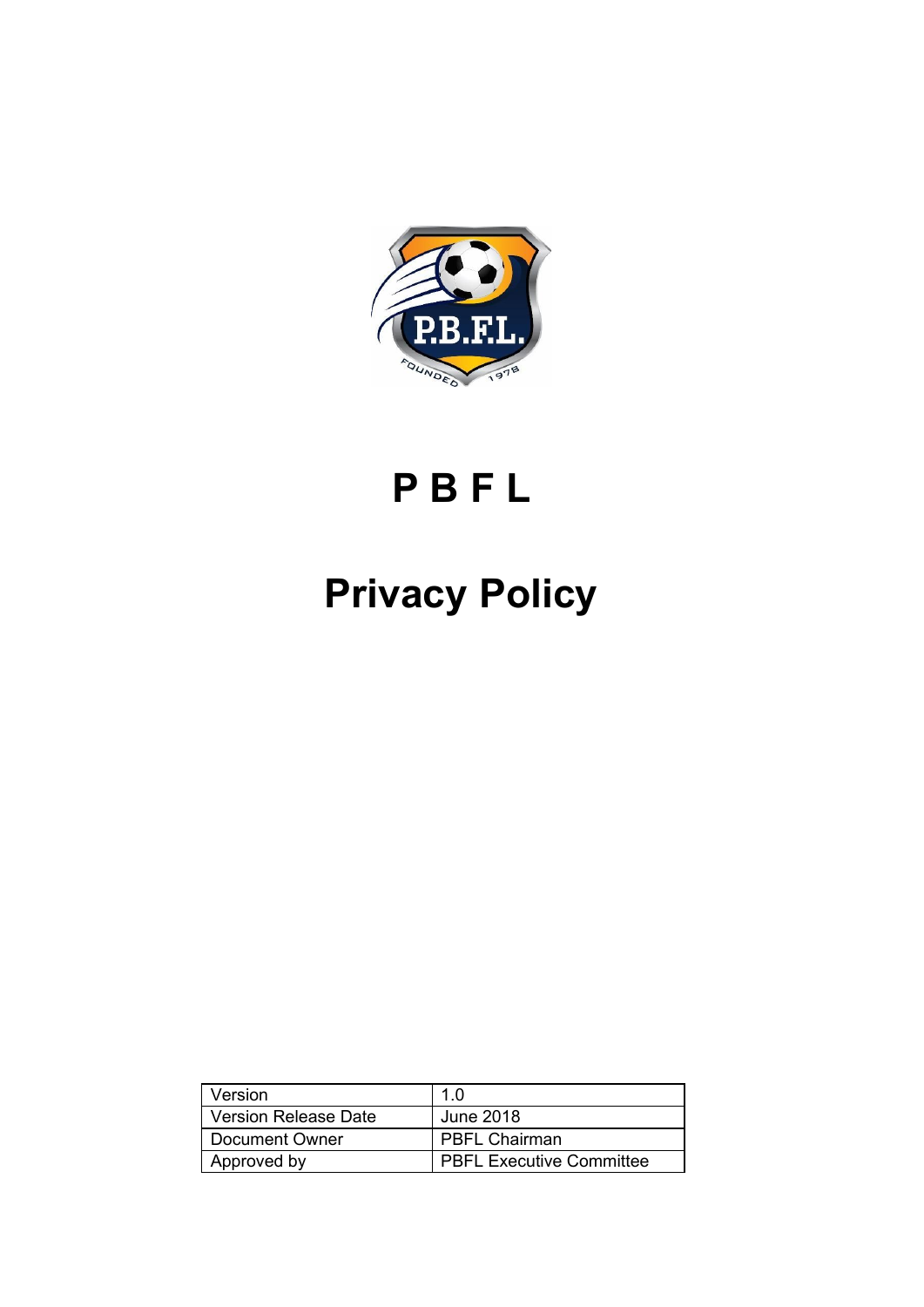

# **P B F L**

# **Privacy Policy**

| Version                     | 1.0                             |
|-----------------------------|---------------------------------|
| <b>Version Release Date</b> | June 2018                       |
| Document Owner              | <b>PBFL Chairman</b>            |
| Approved by                 | <b>PBFL Executive Committee</b> |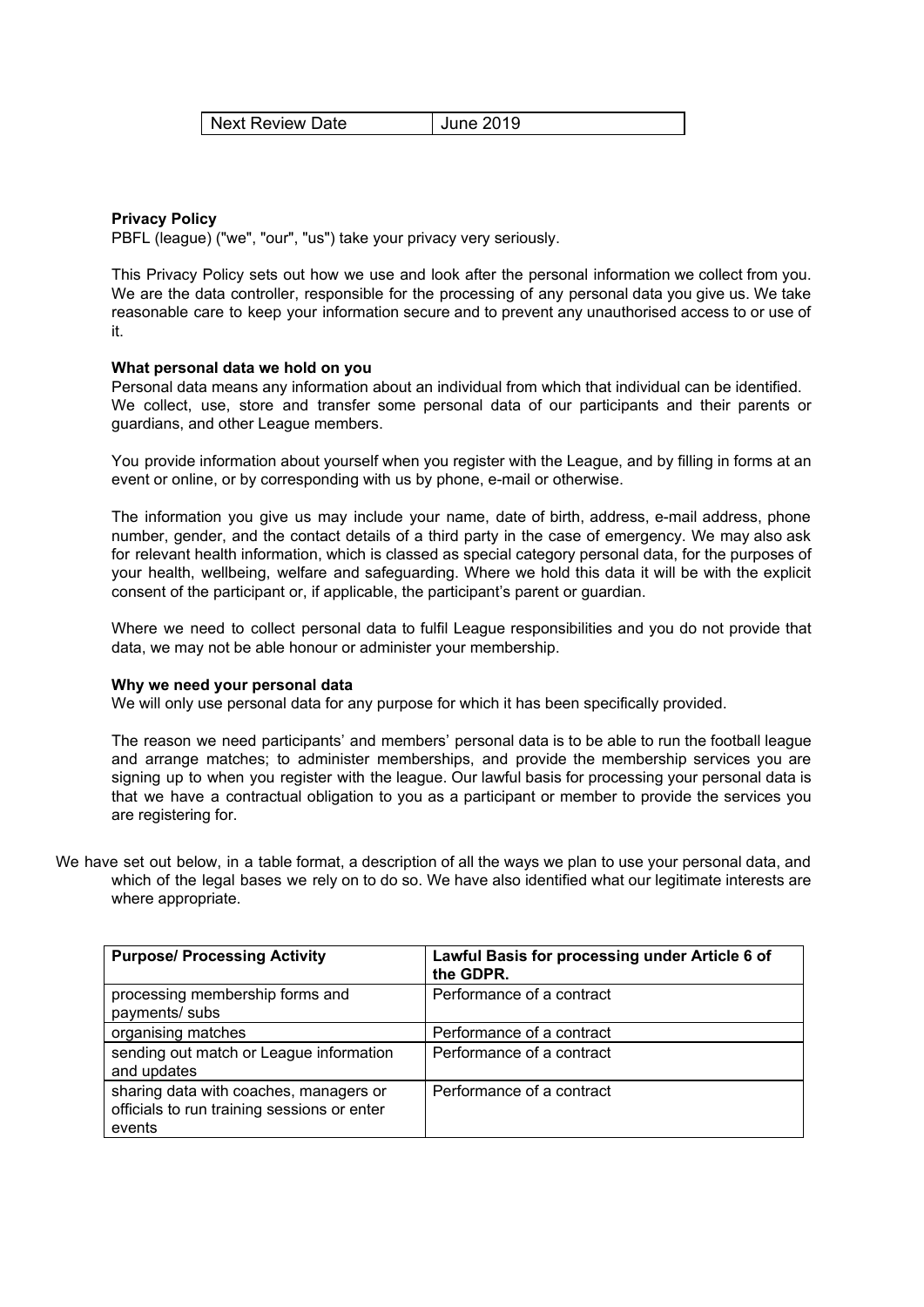| <b>Next Review Date</b> | <b>June 2019</b> |
|-------------------------|------------------|
|-------------------------|------------------|

# **Privacy Policy**

PBFL (league) ("we", "our", "us") take your privacy very seriously.

This Privacy Policy sets out how we use and look after the personal information we collect from you. We are the data controller, responsible for the processing of any personal data you give us. We take reasonable care to keep your information secure and to prevent any unauthorised access to or use of it.

#### **What personal data we hold on you**

Personal data means any information about an individual from which that individual can be identified. We collect, use, store and transfer some personal data of our participants and their parents or guardians, and other League members.

You provide information about yourself when you register with the League, and by filling in forms at an event or online, or by corresponding with us by phone, e-mail or otherwise.

The information you give us may include your name, date of birth, address, e-mail address, phone number, gender, and the contact details of a third party in the case of emergency. We may also ask for relevant health information, which is classed as special category personal data, for the purposes of your health, wellbeing, welfare and safeguarding. Where we hold this data it will be with the explicit consent of the participant or, if applicable, the participant's parent or guardian.

Where we need to collect personal data to fulfil League responsibilities and you do not provide that data, we may not be able honour or administer your membership.

#### **Why we need your personal data**

We will only use personal data for any purpose for which it has been specifically provided.

The reason we need participants' and members' personal data is to be able to run the football league and arrange matches; to administer memberships, and provide the membership services you are signing up to when you register with the league. Our lawful basis for processing your personal data is that we have a contractual obligation to you as a participant or member to provide the services you are registering for.

We have set out below, in a table format, a description of all the ways we plan to use your personal data, and which of the legal bases we rely on to do so. We have also identified what our legitimate interests are where appropriate.

| <b>Purpose/ Processing Activity</b>                                                             | Lawful Basis for processing under Article 6 of<br>the GDPR. |
|-------------------------------------------------------------------------------------------------|-------------------------------------------------------------|
| processing membership forms and<br>payments/ subs                                               | Performance of a contract                                   |
| organising matches                                                                              | Performance of a contract                                   |
| sending out match or League information<br>and updates                                          | Performance of a contract                                   |
| sharing data with coaches, managers or<br>officials to run training sessions or enter<br>events | Performance of a contract                                   |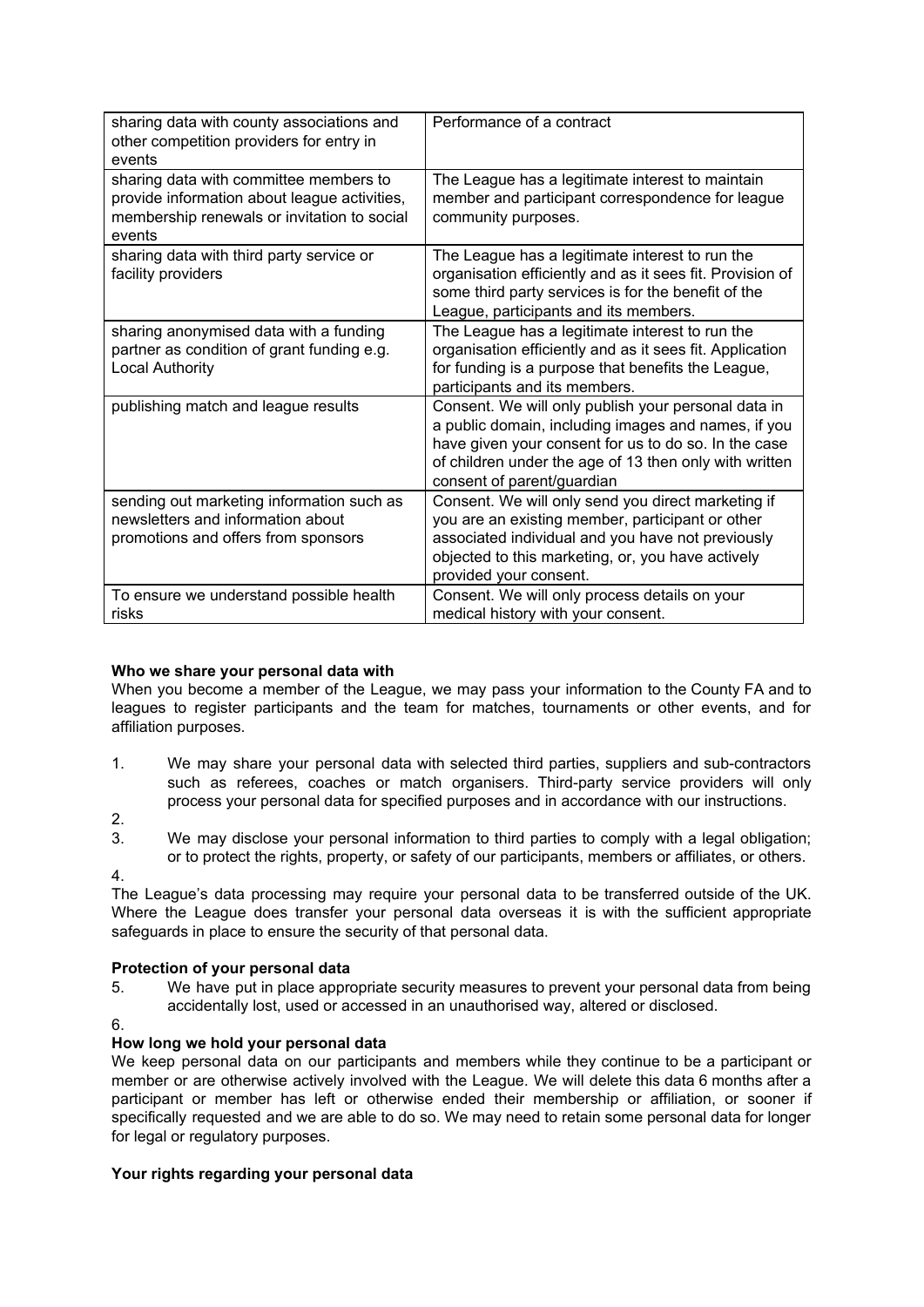| sharing data with county associations and<br>other competition providers for entry in<br>events                                                 | Performance of a contract                                                                                                                                                                                                                                  |
|-------------------------------------------------------------------------------------------------------------------------------------------------|------------------------------------------------------------------------------------------------------------------------------------------------------------------------------------------------------------------------------------------------------------|
| sharing data with committee members to<br>provide information about league activities,<br>membership renewals or invitation to social<br>events | The League has a legitimate interest to maintain<br>member and participant correspondence for league<br>community purposes.                                                                                                                                |
| sharing data with third party service or<br>facility providers                                                                                  | The League has a legitimate interest to run the<br>organisation efficiently and as it sees fit. Provision of<br>some third party services is for the benefit of the<br>League, participants and its members.                                               |
| sharing anonymised data with a funding<br>partner as condition of grant funding e.g.<br><b>Local Authority</b>                                  | The League has a legitimate interest to run the<br>organisation efficiently and as it sees fit. Application<br>for funding is a purpose that benefits the League,<br>participants and its members.                                                         |
| publishing match and league results                                                                                                             | Consent. We will only publish your personal data in<br>a public domain, including images and names, if you<br>have given your consent for us to do so. In the case<br>of children under the age of 13 then only with written<br>consent of parent/guardian |
| sending out marketing information such as<br>newsletters and information about<br>promotions and offers from sponsors                           | Consent. We will only send you direct marketing if<br>you are an existing member, participant or other<br>associated individual and you have not previously<br>objected to this marketing, or, you have actively<br>provided your consent.                 |
| To ensure we understand possible health<br>risks                                                                                                | Consent. We will only process details on your<br>medical history with your consent.                                                                                                                                                                        |

# **Who we share your personal data with**

When you become a member of the League, we may pass your information to the County FA and to leagues to register participants and the team for matches, tournaments or other events, and for affiliation purposes.

- 1. We may share your personal data with selected third parties, suppliers and sub-contractors such as referees, coaches or match organisers. Third-party service providers will only process your personal data for specified purposes and in accordance with our instructions.
- 2.

3. We may disclose your personal information to third parties to comply with a legal obligation; or to protect the rights, property, or safety of our participants, members or affiliates, or others.

4.

The League's data processing may require your personal data to be transferred outside of the UK. Where the League does transfer your personal data overseas it is with the sufficient appropriate safeguards in place to ensure the security of that personal data.

# **Protection of your personal data**

- 5. We have put in place appropriate security measures to prevent your personal data from being accidentally lost, used or accessed in an unauthorised way, altered or disclosed.
- 6.

## **How long we hold your personal data**

We keep personal data on our participants and members while they continue to be a participant or member or are otherwise actively involved with the League. We will delete this data 6 months after a participant or member has left or otherwise ended their membership or affiliation, or sooner if specifically requested and we are able to do so. We may need to retain some personal data for longer for legal or regulatory purposes.

## **Your rights regarding your personal data**